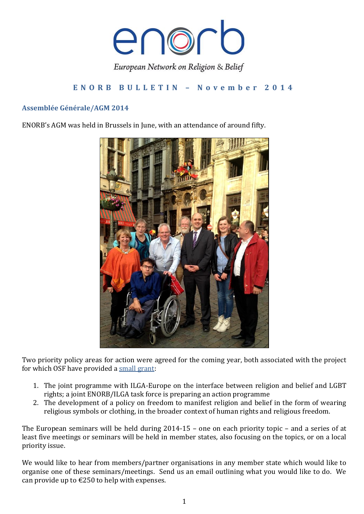

# **E N O R B B U L L E T I N – N o v e m b e r 2 0 1 4**

## **Assemblée Générale/AGM 2014**

ENORB's AGM was held in Brussels in June, with an attendance of around fifty.



Two priority policy areas for action were agreed for the coming year, both associated with the project for which OSF have provided a [small grant:](http://www.enorb.eu/events-news)

- 1. The joint programme with ILGA-Europe on the interface between religion and belief and LGBT rights; a joint ENORB/ILGA task force is preparing an action programme
- 2. The development of a policy on freedom to manifest religion and belief in the form of wearing religious symbols or clothing, in the broader context of human rights and religious freedom.

The European seminars will be held during 2014-15 – one on each priority topic – and a series of at least five meetings or seminars will be held in member states, also focusing on the topics, or on a local priority issue.

We would like to hear from members/partner organisations in any member state which would like to organise one of these seminars/meetings. Send us an email outlining what you would like to do. We can provide up to  $\epsilon$ 250 to help with expenses.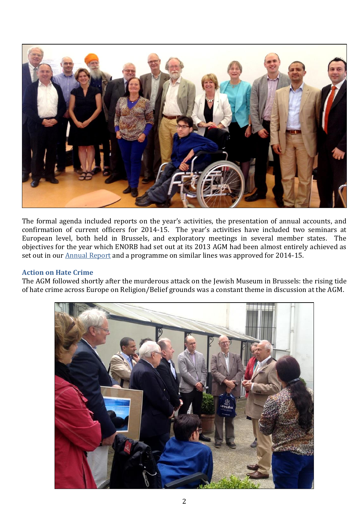

The formal agenda included reports on the year's activities, the presentation of annual accounts, and confirmation of current officers for 2014-15. The year's activities have included two seminars at European level, both held in Brussels, and exploratory meetings in several member states. The objectives for the year which ENORB had set out at its 2013 AGM had been almost entirely achieved as set out in our **[Annual Report](http://www.enorb.eu/resources)** and a programme on similar lines was approved for 2014-15.

### **Action on Hate Crime**

The AGM followed shortly after the murderous attack on the Jewish Museum in Brussels: the rising tide of hate crime across Europe on Religion/Belief grounds was a constant theme in discussion at the AGM.

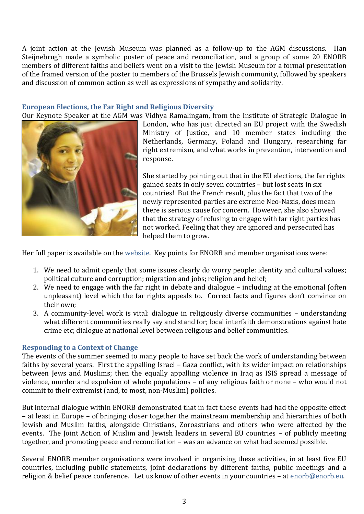A joint action at the Jewish Museum was planned as a follow-up to the AGM discussions. Han Steijnebrugh made a symbolic poster of peace and reconciliation, and a group of some 20 ENORB members of different faiths and beliefs went on a visit to the Jewish Museum for a formal presentation of the framed version of the poster to members of the Brussels Jewish community, followed by speakers and discussion of common action as well as expressions of sympathy and solidarity.

#### **European Elections, the Far Right and Religious Diversity**

Our Keynote Speaker at the AGM was Vidhya Ramalingam, from the Institute of Strategic Dialogue in



London, who has just directed an EU project with the Swedish Ministry of Justice, and 10 member states including the Netherlands, Germany, Poland and Hungary, researching far right extremism, and what works in prevention, intervention and response.

She started by pointing out that in the EU elections, the far rights gained seats in only seven countries – but lost seats in six countries! But the French result, plus the fact that two of the newly represented parties are extreme Neo-Nazis, does mean there is serious cause for concern. However, she also showed that the strategy of refusing to engage with far right parties has not worked. Feeling that they are ignored and persecuted has helped them to grow.

Her full paper is available on the [website.](http://www.enorb.eu/resources) Key points for ENORB and member organisations were:

- 1. We need to admit openly that some issues clearly do worry people: identity and cultural values; political culture and corruption; migration and jobs; religion and belief;
- 2. We need to engage with the far right in debate and dialogue including at the emotional (often unpleasant) level which the far rights appeals to. Correct facts and figures don't convince on their own;
- 3. A community-level work is vital: dialogue in religiously diverse communities understanding what different communities really say and stand for; local interfaith demonstrations against hate crime etc; dialogue at national level between religious and belief communities.

### **Responding to a Context of Change**

The events of the summer seemed to many people to have set back the work of understanding between faiths by several years. First the appalling Israel – Gaza conflict, with its wider impact on relationships between Jews and Muslims; then the equally appalling violence in Iraq as ISIS spread a message of violence, murder and expulsion of whole populations – of any religious faith or none – who would not commit to their extremist (and, to most, non-Muslim) policies.

But internal dialogue within ENORB demonstrated that in fact these events had had the opposite effect – at least in Europe – of bringing closer together the mainstream membership and hierarchies of both Jewish and Muslim faiths, alongside Christians, Zoroastrians and others who were affected by the events. The Joint Action of Muslim and Jewish leaders in several EU countries – of publicly meeting together, and promoting peace and reconciliation – was an advance on what had seemed possible.

Several ENORB member organisations were involved in organising these activities, in at least five EU countries, including public statements, joint declarations by different faiths, public meetings and a religion & belief peace conference. Let us know of other events in your countries – at [enorb@enorb.eu.](mailto:enorb@enorb.eu)